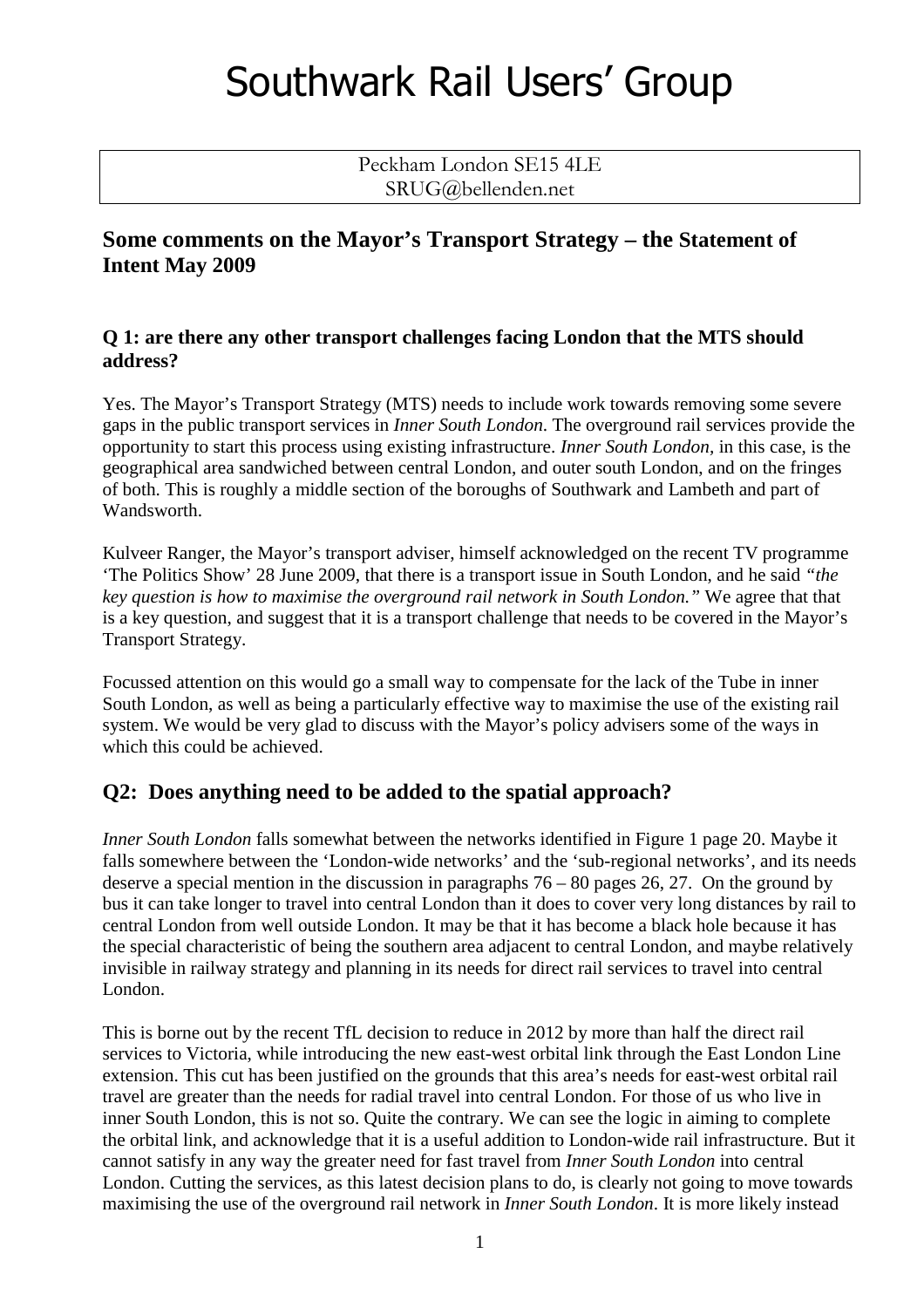# Southwark Rail Users' Group

Peckham London SE15 4LE SRUG@bellenden.net

### **Some comments on the Mayor's Transport Strategy – the Statement of Intent May 2009**

#### **Q 1: are there any other transport challenges facing London that the MTS should address?**

Yes. The Mayor's Transport Strategy (MTS) needs to include work towards removing some severe gaps in the public transport services in *Inner South London*. The overground rail services provide the opportunity to start this process using existing infrastructure. *Inner South London,* in this case, is the geographical area sandwiched between central London, and outer south London, and on the fringes of both. This is roughly a middle section of the boroughs of Southwark and Lambeth and part of Wandsworth.

Kulveer Ranger, the Mayor's transport adviser, himself acknowledged on the recent TV programme 'The Politics Show' 28 June 2009, that there is a transport issue in South London, and he said *"the key question is how to maximise the overground rail network in South London."* We agree that that is a key question, and suggest that it is a transport challenge that needs to be covered in the Mayor's Transport Strategy.

Focussed attention on this would go a small way to compensate for the lack of the Tube in inner South London, as well as being a particularly effective way to maximise the use of the existing rail system. We would be very glad to discuss with the Mayor's policy advisers some of the ways in which this could be achieved.

# **Q2: Does anything need to be added to the spatial approach?**

*Inner South London* falls somewhat between the networks identified in Figure 1 page 20. Maybe it falls somewhere between the 'London-wide networks' and the 'sub-regional networks', and its needs deserve a special mention in the discussion in paragraphs 76 – 80 pages 26, 27. On the ground by bus it can take longer to travel into central London than it does to cover very long distances by rail to central London from well outside London. It may be that it has become a black hole because it has the special characteristic of being the southern area adjacent to central London, and maybe relatively invisible in railway strategy and planning in its needs for direct rail services to travel into central London.

This is borne out by the recent TfL decision to reduce in 2012 by more than half the direct rail services to Victoria, while introducing the new east-west orbital link through the East London Line extension. This cut has been justified on the grounds that this area's needs for east-west orbital rail travel are greater than the needs for radial travel into central London. For those of us who live in inner South London, this is not so. Quite the contrary. We can see the logic in aiming to complete the orbital link, and acknowledge that it is a useful addition to London-wide rail infrastructure. But it cannot satisfy in any way the greater need for fast travel from *Inner South London* into central London. Cutting the services, as this latest decision plans to do, is clearly not going to move towards maximising the use of the overground rail network in *Inner South London*. It is more likely instead